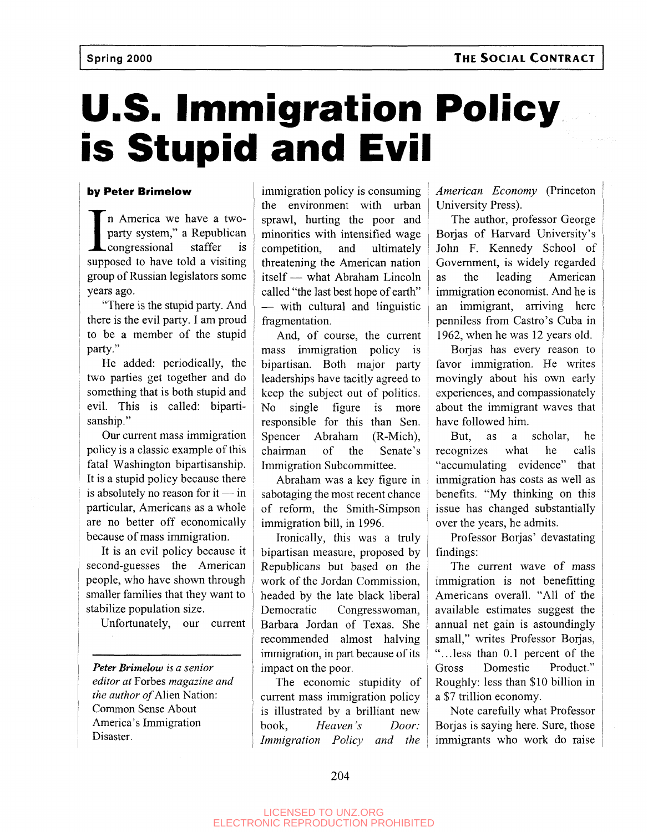# **U.S. Immigration Policy is Stupid and Evil**

### **by Peter Brimelow**

In America we have a two-<br>party system," a Republican<br>congressional staffer is<br>supposed to have told a visiting n America we have a twoparty system," a Republican congressional staffer is group of Russian legislators some years ago.

"There is the stupid party. And there is the evil party. I am proud to be a member of the stupid party."

He added: periodically, the two parties get together and do something that is both stupid and evil. This is called: bipartisanship."

Our current mass immigration policy is a classic example of this fatal Washington bipartisanship. It is a stupid policy because there is absolutely no reason for  $it - in$ particular, Americans as a whole are no better off economically because of mass immigration.

It is an evil policy because it second-guesses the American people, who have shown through smaller families that they want to stabilize population size.

Unfortunately, our current

*Peter Brimelow is a senior editor at* Forbes *magazine and the author of* Alien Nation: Common Sense About America's Immigration Disaster.

immigration policy is consuming the environment with urban sprawl, hurting the poor and minorities with intensified wage competition, and ultimately threatening the American nation itself — what Abraham Lincoln called "the last best hope of earth" — with cultural and linguistic fragmentation.

And, of course, the current mass immigration policy is bipartisan. Both major party leaderships have tacitly agreed to keep the subject out of politics. No single figure is more responsible for this than Sen. Spencer Abraham (R-Mich), chairman of the Senate's Immigration Subcommittee.

Abraham was a key figure in sabotaging the most recent chance of reform, the Smith-Simpson immigration bill, in 1996.

Ironically, this was a truly bipartisan measure, proposed by Republicans but based on the work of the Jordan Commission, headed by the late black liberal Democratic Congresswoman, Barbara Jordan of Texas. She recommended almost halving immigration, in part because of its impact on the poor.

The economic stupidity of current mass immigration policy is illustrated by a brilliant new book, *Heaven's Door: Immigration Policy and the* *American Economy* (Princeton University Press).

The author, professor George Borjas of Harvard University's John F. Kennedy School of Government, is widely regarded as the leading American immigration economist. And he is an immigrant, arriving here penniless from Castro's Cuba in 1962, when he was 12 years old.

Borjas has every reason to favor immigration. He writes movingly about his own early experiences, and compassionately about the immigrant waves that have followed him.

But, as a scholar, he recognizes what he calls "accumulating evidence" that immigration has costs as well as benefits. "My thinking on this issue has changed substantially over the years, he admits.

Professor Borjas' devastating findings:

The current wave of mass immigration is not benefitting Americans overall. "All of the available estimates suggest the annual net gain is astoundingly small," writes Professor Borjas, "...less than 0.1 percent of the Gross Domestic Product." Roughly: less than \$10 billion in a \$7 trillion economy.

Note carefully what Professor Borjas is saying here. Sure, those immigrants who work do raise